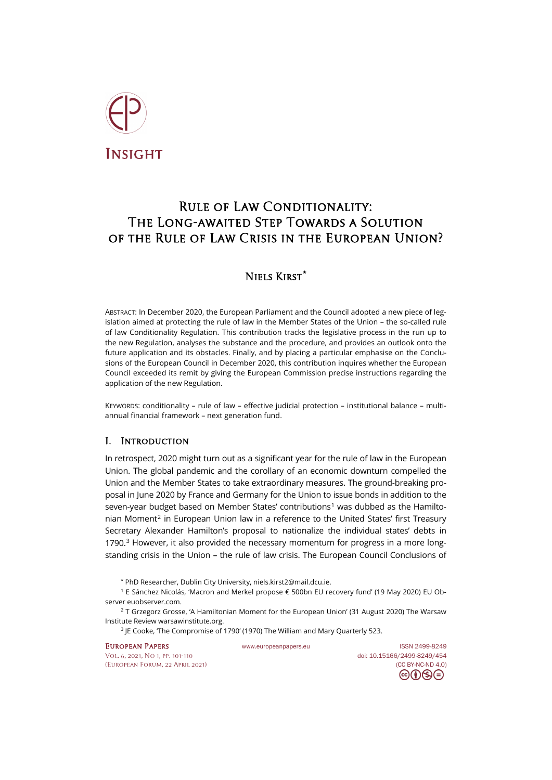

# Rule of Law Conditionality: The Long-awaited Step Towards a Solution of the Rule of Law Crisis in the European Union?

## Niels Kirst**[\\*](#page-0-0)**

ABSTRACT: In December 2020, the European Parliament and the Council adopted a new piece of legislation aimed at protecting the rule of law in the Member States of the Union – the so-called rule of law Conditionality Regulation. This contribution tracks the legislative process in the run up to the new Regulation, analyses the substance and the procedure, and provides an outlook onto the future application and its obstacles. Finally, and by placing a particular emphasise on the Conclusions of the European Council in December 2020, this contribution inquires whether the European Council exceeded its remit by giving the European Commission precise instructions regarding the application of the new Regulation.

KEYWORDS: conditionality – rule of law – effective judicial protection – institutional balance – multiannual financial framework – next generation fund.

## I. Introduction

In retrospect, 2020 might turn out as a significant year for the rule of law in the European Union. The global pandemic and the corollary of an economic downturn compelled the Union and the Member States to take extraordinary measures. The ground-breaking proposal in June 2020 by France and Germany for the Union to issue bonds in addition to the seven-year budget based on Member States' contributions<sup>[1](#page-0-1)</sup> was dubbed as the Hamilto-nian Moment<sup>[2](#page-0-2)</sup> in European Union law in a reference to the United States' first Treasury Secretary Alexander Hamilton's proposal to nationalize the individual states' debts in 1790. $3$  However, it also provided the necessary momentum for progress in a more longstanding crisis in the Union – the rule of law crisis. The European Council Conclusions of

\* PhD Researcher, Dublin City University, [niels.kirst2@mail.dcu.ie.](mailto:niels.kirst2@mail.dcu.ie)

<span id="page-0-1"></span><span id="page-0-0"></span><sup>1</sup> E Sánchez Nicolás, 'Macron and Merkel propose € 500bn EU recovery fund' (19 May 2020) EU Observer [euobserver.com.](https://euobserver.com/coronavirus/148405)

<span id="page-0-2"></span> $2$  T Grzegorz Grosse, 'A Hamiltonian Moment for the European Union' (31 August 2020) The Warsaw Institute Revie[w warsawinstitute.org.](https://warsawinstitute.org/hamiltonian-moment-european-union)

<sup>3</sup> JE Cooke, The Compromise of 1790' (1970) The William and Mary Quarterly 523.

[Vol. 6, 2021, No 1,](https://www.europeanpapers.eu/en/content/e-journal/EP_eJ_2021_1) pp. 101-110 doi[: 10.15166/2499-8249/454](https://search.datacite.org/works/10.15166/2499-8249/454) [\(European](http://www.europeanpapers.eu/en/content/european-forum) Forum, 22 April 2021) [\(CC BY-NC-ND 4.0\)](https://creativecommons.org/licenses/by-nc-nd/4.0/)

<span id="page-0-3"></span>EUROPEAN PAPERS WWW.europeanpapers.eu ISS[N 2499-8249](https://search.datacite.org/works?query=www.europeanpapers.eu)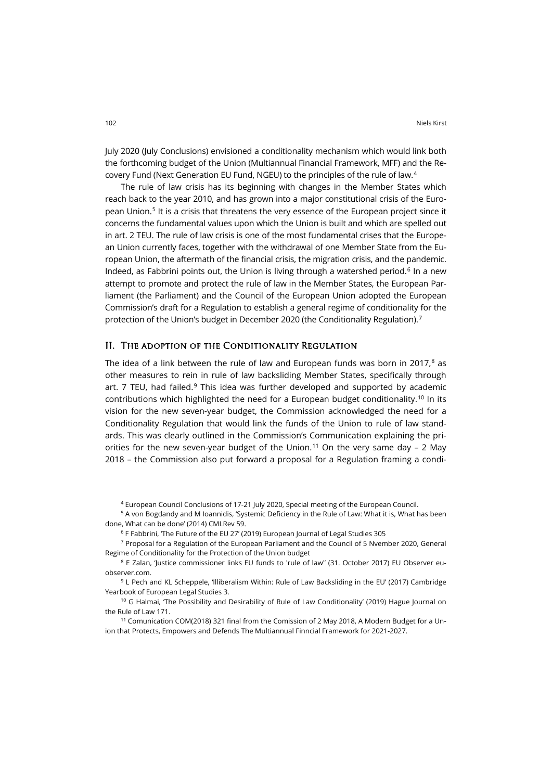July 2020 (July Conclusions) envisioned a conditionality mechanism which would link both the forthcoming budget of the Union (Multiannual Financial Framework, MFF) and the Recovery Fund (Next Generation EU Fund, NGEU) to the principles of the rule of law.[4](#page-1-0)

The rule of law crisis has its beginning with changes in the Member States which reach back to the year 2010, and has grown into a major constitutional crisis of the European Union. [5](#page-1-1) It is a crisis that threatens the very essence of the European project since it concerns the fundamental values upon which the Union is built and which are spelled out in art. 2 TEU. The rule of law crisis is one of the most fundamental crises that the European Union currently faces, together with the withdrawal of one Member State from the European Union, the aftermath of the financial crisis, the migration crisis, and the pandemic. Indeed, as Fabbrini points out, the Union is living through a watershed period.<sup>[6](#page-1-2)</sup> In a new attempt to promote and protect the rule of law in the Member States, the European Parliament (the Parliament) and the Council of the European Union adopted the European Commission's draft for a Regulation to establish a general regime of conditionality for the protection of the Union's budget in December 2020 (the Conditionality Regulation). [7](#page-1-3)

### II. The adoption of the Conditionality Regulation

The idea of a link between the rule of law and European funds was born in 2017. $8$  as other measures to rein in rule of law backsliding Member States, specifically through art.  $7$  TEU, had failed. $9$  This idea was further developed and supported by academic contributions which highlighted the need for a European budget conditionality.<sup>[10](#page-1-6)</sup> In its vision for the new seven-year budget, the Commission acknowledged the need for a Conditionality Regulation that would link the funds of the Union to rule of law standards. This was clearly outlined in the Commission's Communication explaining the pri-orities for the new seven-year budget of the Union.<sup>[11](#page-1-7)</sup> On the very same day  $-$  2 May 2018 – the Commission also put forward a proposal for a Regulation framing a condi-

<sup>4</sup> European Council Conclusions of 17-21 July 2020, Special meeting of the European Council.

<span id="page-1-1"></span><span id="page-1-0"></span><sup>5</sup> A von Bogdandy and M Ioannidis, 'Systemic Deficiency in the Rule of Law: What it is, What has been done, What can be done' (2014) CMLRev 59.

<sup>6</sup> F Fabbrini, 'The Future of the EU 27' (2019) European Journal of Legal Studies 305

<span id="page-1-3"></span><span id="page-1-2"></span><sup>7</sup> Proposal for a Regulation of the European Parliament and the Council of 5 Nvember 2020, General Regime of Conditionality for the Protection of the Union budget

<span id="page-1-4"></span><sup>8</sup> E Zalan, 'Justice commissioner links EU funds to 'rule of law'' (31. October 2017) EU Observer [eu](https://euobserver.com/political/139720)[observer.com.](https://euobserver.com/political/139720)

<span id="page-1-5"></span><sup>9</sup> L Pech and KL Scheppele, 'Illiberalism Within: Rule of Law Backsliding in the EU' (2017) Cambridge Yearbook of European Legal Studies 3.

<span id="page-1-6"></span><sup>10</sup> G Halmai, 'The Possibility and Desirability of Rule of Law Conditionality' (2019) Hague Journal on the Rule of Law 171.

<span id="page-1-7"></span><sup>11</sup> Comunication COM(2018) 321 final from the Comission of 2 May 2018, A Modern Budget for a Union that Protects, Empowers and Defends The Multiannual Finncial Framework for 2021-2027.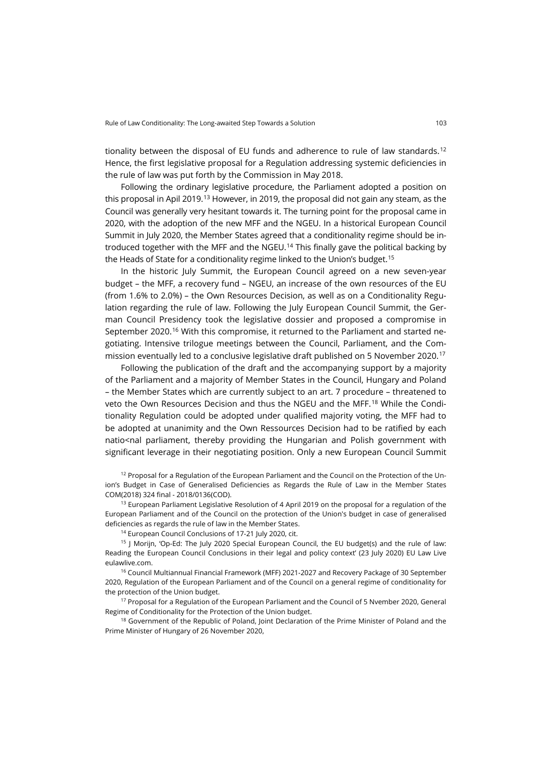tionality between the disposal of EU funds and adherence to rule of law standards.<sup>[12](#page-2-0)</sup> Hence, the first legislative proposal for a Regulation addressing systemic deficiencies in the rule of law was put forth by the Commission in May 2018.

Following the ordinary legislative procedure, the Parliament adopted a position on this proposal in Apil 2019.<sup>[13](#page-2-1)</sup> However, in 2019, the proposal did not gain any steam, as the Council was generally very hesitant towards it. The turning point for the proposal came in 2020, with the adoption of the new MFF and the NGEU. In a historical European Council Summit in July 2020, the Member States agreed that a conditionality regime should be introduced together with the MFF and the NGEU.[14](#page-2-2) This finally gave the political backing by the Heads of State for a conditionality regime linked to the Union's budget.<sup>[15](#page-2-3)</sup>

In the historic July Summit, the European Council agreed on a new seven-year budget – the MFF, a recovery fund – NGEU, an increase of the own resources of the EU (from 1.6% to 2.0%) – the Own Resources Decision, as well as on a Conditionality Regulation regarding the rule of law. Following the July European Council Summit, the German Council Presidency took the legislative dossier and proposed a compromise in September 2020.[16](#page-2-4) With this compromise, it returned to the Parliament and started negotiating. Intensive trilogue meetings between the Council, Parliament, and the Commission eventually led to a conclusive legislative draft published on 5 November 2020.[17](#page-2-5)

Following the publication of the draft and the accompanying support by a majority of the Parliament and a majority of Member States in the Council, Hungary and Poland – the Member States which are currently subject to an art. 7 procedure – threatened to veto the Own Resources Decision and thus the NGEU and the MFF.[18](#page-2-6) While the Conditionality Regulation could be adopted under qualified majority voting, the MFF had to be adopted at unanimity and the Own Ressources Decision had to be ratified by each natio<nal parliament, thereby providing the Hungarian and Polish government with significant leverage in their negotiating position. Only a new European Council Summit

<span id="page-2-0"></span> $12$  Proposal for a Regulation of the European Parliament and the Council on the Protection of the Union's Budget in Case of Generalised Deficiencies as Regards the Rule of Law in the Member States COM(2018) 324 final - 2018/0136(COD).

<span id="page-2-1"></span> $13$  European Parliament Legislative Resolution of 4 April 2019 on the proposal for a regulation of the European Parliament and of the Council on the protection of the Union's budget in case of generalised deficiencies as regards the rule of law in the Member States.

<sup>14</sup> European Council Conclusions of 17-21 July 2020, cit.

<span id="page-2-3"></span><span id="page-2-2"></span><sup>15</sup> J Morijn, 'Op-Ed: The July 2020 Special European Council, the EU budget(s) and the rule of law: Reading the European Council Conclusions in their legal and policy context' (23 July 2020) EU Law Live [eulawlive.com.](https://eulawlive.com/op-ed-the-july-2020-special-european-council-the-eu-budgets-and-the-rule-of-law-reading-the-european-council-conclusions-in-their-legal-and-policy-context-by-john-morijn)

<span id="page-2-4"></span><sup>16</sup> Council Multiannual Financial Framework (MFF) 2021-2027 and Recovery Package of 30 September 2020, Regulation of the European Parliament and of the Council on a general regime of conditionality for the protection of the Union budget.

<span id="page-2-5"></span><sup>17</sup> Proposal for a Regulation of the European Parliament and the Council of 5 Nvember 2020, General Regime of Conditionality for the Protection of the Union budget.

<span id="page-2-6"></span><sup>18</sup> Government of the Republic of Poland, Joint Declaration of the Prime Minister of Poland and the Prime Minister of Hungary of 26 November 2020[,](https://www.gov.pl/web/eu/joint-declaration-of-the-prime-minister-of-poland-and-the-prime-minister-of-hungary%23:%7E:text=Back-,Joint%20Declaration%20of%20the%20Prime%20Minister%20of,the%20Prime%20Minister%20of%20Hungary&text=Prime%20Minister%20Mateusz%20Morawiecki%20and,of%20the%20rule%20of%20law)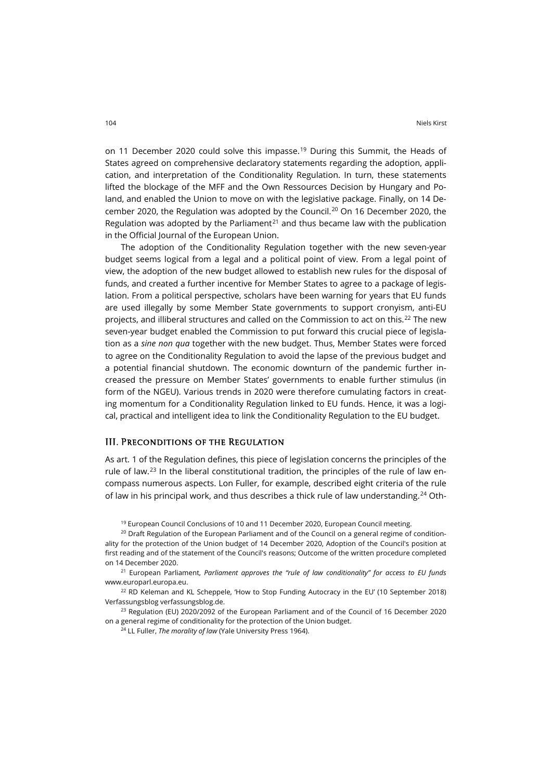on 11 December 2020 could solve this impasse.<sup>[19](#page-3-0)</sup> During this Summit, the Heads of States agreed on comprehensive declaratory statements regarding the adoption, application, and interpretation of the Conditionality Regulation. In turn, these statements lifted the blockage of the MFF and the Own Ressources Decision by Hungary and Poland, and enabled the Union to move on with the legislative package. Finally, on 14 De-cember [20](#page-3-1)20, the Regulation was adopted by the Council.<sup>20</sup> On 16 December 2020, the Regulation was adopted by the Parliament<sup>[21](#page-3-2)</sup> and thus became law with the publication in the Official Journal of the European Union.

The adoption of the Conditionality Regulation together with the new seven-year budget seems logical from a legal and a political point of view. From a legal point of view, the adoption of the new budget allowed to establish new rules for the disposal of funds, and created a further incentive for Member States to agree to a package of legislation. From a political perspective, scholars have been warning for years that EU funds are used illegally by some Member State governments to support cronyism, anti-EU projects, and illiberal structures and called on the Commission to act on this.[22](#page-3-3) The new seven-year budget enabled the Commission to put forward this crucial piece of legislation as a *sine non qua* together with the new budget. Thus, Member States were forced to agree on the Conditionality Regulation to avoid the lapse of the previous budget and a potential financial shutdown. The economic downturn of the pandemic further increased the pressure on Member States' governments to enable further stimulus (in form of the NGEU). Various trends in 2020 were therefore cumulating factors in creating momentum for a Conditionality Regulation linked to EU funds. Hence, it was a logical, practical and intelligent idea to link the Conditionality Regulation to the EU budget.

#### III. Preconditions of the Regulation

As art. 1 of the Regulation defines, this piece of legislation concerns the principles of the rule of law.<sup>[23](#page-3-4)</sup> In the liberal constitutional tradition, the principles of the rule of law encompass numerous aspects. Lon Fuller, for example, described eight criteria of the rule of law in his principal work, and thus describes a thick rule of law understanding.<sup>[24](#page-3-5)</sup> Oth-

<sup>19</sup> European Council Conclusions of 10 and 11 December 2020, European Council meeting.

<span id="page-3-1"></span><span id="page-3-0"></span> $20$  Draft Regulation of the European Parliament and of the Council on a general regime of conditionality for the protection of the Union budget of 14 December 2020, Adoption of the Council's position at first reading and of the statement of the Council's reasons; Outcome of the written procedure completed on 14 December 2020.

<span id="page-3-2"></span><sup>21</sup> European Parliament, *Parliament approves the "rule of law conditionality" for access to EU funds* [www.europarl.europa.eu.](https://www.europarl.europa.eu/news/en/press-room/20201211IPR93622/parliament-approves-the-rule-of-law-conditionality-for-access-to-eu-funds%23:%7E:text=On%20Wednesday%2C%20MEPs%20approved%20the,management%20of%20the%20EU%20funds.&text=It)

<span id="page-3-3"></span> $22$  RD Keleman and KL Scheppele, 'How to Stop Funding Autocracy in the EU' (10 September 2018) Verfassungsblog [verfassungsblog.de.](https://verfassungsblog.de/how-to-stop-funding-autocracy-in-the-eu/)

<span id="page-3-5"></span><span id="page-3-4"></span><sup>23</sup> Regulation (EU) 2020/2092 of the European Parliament and of the Council of 16 December 2020 on a general regime of conditionality for the protection of the Union budget.

<sup>24</sup> LL Fuller, *The morality of law* (Yale University Press 1964).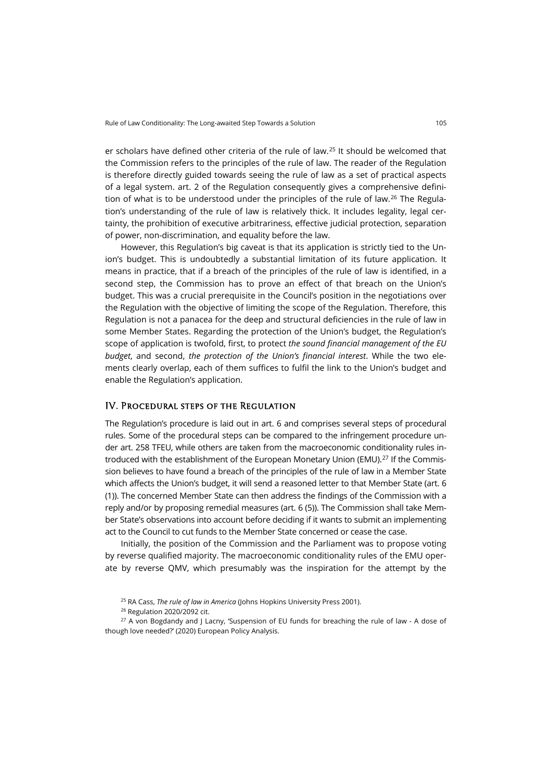er scholars have defined other criteria of the rule of law.[25](#page-4-0) It should be welcomed that the Commission refers to the principles of the rule of law. The reader of the Regulation is therefore directly guided towards seeing the rule of law as a set of practical aspects of a legal system. art. 2 of the Regulation consequently gives a comprehensive defini-tion of what is to be understood under the principles of the rule of law.<sup>[26](#page-4-1)</sup> The Regulation's understanding of the rule of law is relatively thick. It includes legality, legal certainty, the prohibition of executive arbitrariness, effective judicial protection, separation of power, non-discrimination, and equality before the law.

However, this Regulation's big caveat is that its application is strictly tied to the Union's budget. This is undoubtedly a substantial limitation of its future application. It means in practice, that if a breach of the principles of the rule of law is identified, in a second step, the Commission has to prove an effect of that breach on the Union's budget. This was a crucial prerequisite in the Council's position in the negotiations over the Regulation with the objective of limiting the scope of the Regulation. Therefore, this Regulation is not a panacea for the deep and structural deficiencies in the rule of law in some Member States. Regarding the protection of the Union's budget, the Regulation's scope of application is twofold, first, to protect *the sound financial management of the EU budget*, and second, *the protection of the Union's financial interest*. While the two elements clearly overlap, each of them suffices to fulfil the link to the Union's budget and enable the Regulation's application.

#### IV. Procedural steps of the Regulation

The Regulation's procedure is laid out in art. 6 and comprises several steps of procedural rules. Some of the procedural steps can be compared to the infringement procedure under art. 258 TFEU, while others are taken from the macroeconomic conditionality rules in-troduced with the establishment of the European Monetary Union (EMU).<sup>[27](#page-4-2)</sup> If the Commission believes to have found a breach of the principles of the rule of law in a Member State which affects the Union's budget, it will send a reasoned letter to that Member State (art. 6 (1)). The concerned Member State can then address the findings of the Commission with a reply and/or by proposing remedial measures (art. 6 (5)). The Commission shall take Member State's observations into account before deciding if it wants to submit an implementing act to the Council to cut funds to the Member State concerned or cease the case.

Initially, the position of the Commission and the Parliament was to propose voting by reverse qualified majority. The macroeconomic conditionality rules of the EMU operate by reverse QMV, which presumably was the inspiration for the attempt by the

<sup>25</sup> RA Cass, *The rule of law in America* (Johns Hopkins University Press 2001).

<sup>26</sup> Regulation 2020/2092 cit.

<span id="page-4-2"></span><span id="page-4-1"></span><span id="page-4-0"></span> $27$  A von Bogdandy and J Lacny, 'Suspension of EU funds for breaching the rule of law - A dose of though love needed?' (2020) European Policy Analysis.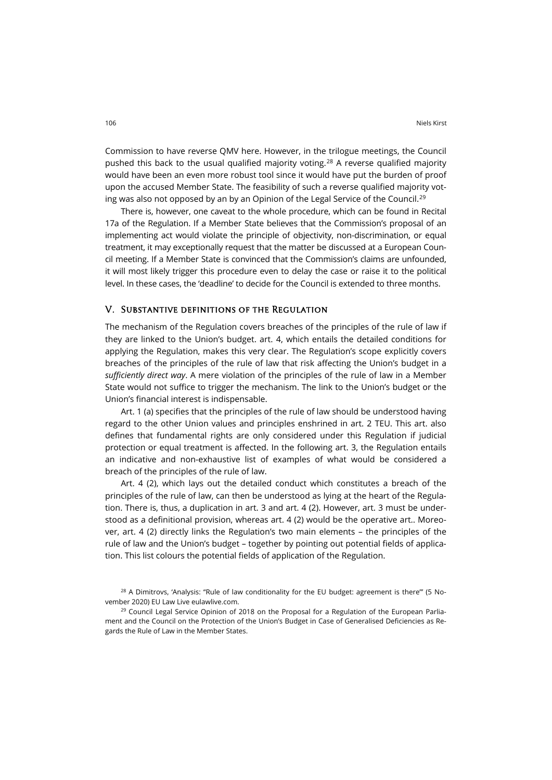Commission to have reverse QMV here. However, in the trilogue meetings, the Council pushed this back to the usual qualified majority voting.<sup>[28](#page-5-0)</sup> A reverse qualified majority would have been an even more robust tool since it would have put the burden of proof upon the accused Member State. The feasibility of such a reverse qualified majority vot-ing was also not opposed by an by an Opinion of the Legal Service of the Council.<sup>[29](#page-5-1)</sup>

There is, however, one caveat to the whole procedure, which can be found in Recital 17a of the Regulation. If a Member State believes that the Commission's proposal of an implementing act would violate the principle of objectivity, non-discrimination, or equal treatment, it may exceptionally request that the matter be discussed at a European Council meeting. If a Member State is convinced that the Commission's claims are unfounded, it will most likely trigger this procedure even to delay the case or raise it to the political level. In these cases, the 'deadline' to decide for the Council is extended to three months.

#### V. Substantive definitions of the Regulation

The mechanism of the Regulation covers breaches of the principles of the rule of law if they are linked to the Union's budget. art. 4, which entails the detailed conditions for applying the Regulation, makes this very clear. The Regulation's scope explicitly covers breaches of the principles of the rule of law that risk affecting the Union's budget in a *sufficiently direct way*. A mere violation of the principles of the rule of law in a Member State would not suffice to trigger the mechanism. The link to the Union's budget or the Union's financial interest is indispensable.

Art. 1 (a) specifies that the principles of the rule of law should be understood having regard to the other Union values and principles enshrined in art. 2 TEU. This art. also defines that fundamental rights are only considered under this Regulation if judicial protection or equal treatment is affected. In the following art. 3, the Regulation entails an indicative and non-exhaustive list of examples of what would be considered a breach of the principles of the rule of law.

Art. 4 (2), which lays out the detailed conduct which constitutes a breach of the principles of the rule of law, can then be understood as lying at the heart of the Regulation. There is, thus, a duplication in art. 3 and art. 4 (2). However, art. 3 must be understood as a definitional provision, whereas art. 4 (2) would be the operative art.. Moreover, art. 4 (2) directly links the Regulation's two main elements – the principles of the rule of law and the Union's budget – together by pointing out potential fields of application. This list colours the potential fields of application of the Regulation.

<span id="page-5-0"></span><sup>&</sup>lt;sup>28</sup> A Dimitrovs, 'Analysis: "Rule of law conditionality for the EU budget: agreement is there"' (5 November 2020) EU Law Live [eulawlive.com.](https://eulawlive.com/analysis-rule-of-law-conditionality-for-the-eu-budget-agreement-is-there-by-aleksejs-dimitrovs)

<span id="page-5-1"></span> $29$  Council Legal Service Opinion of 2018 on the Proposal for a Regulation of the European Parliament and the Council on the Protection of the Union's Budget in Case of Generalised Deficiencies as Regards the Rule of Law in the Member States.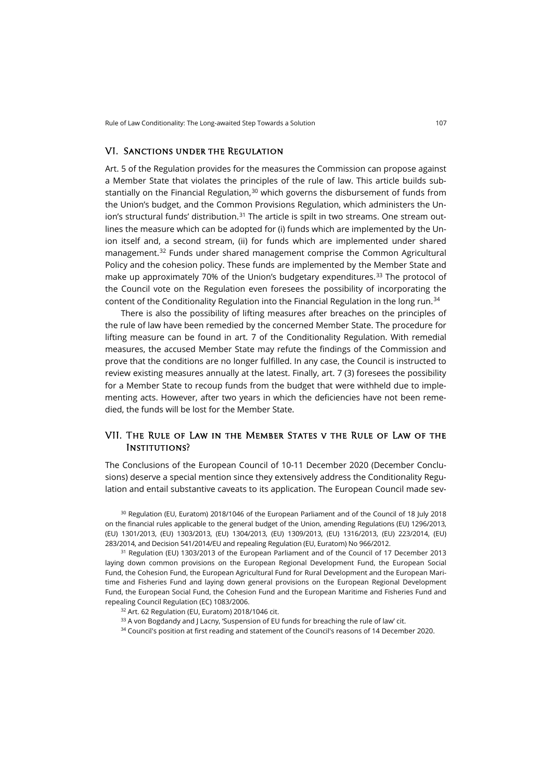#### VI. Sanctions under the Regulation

Art. 5 of the Regulation provides for the measures the Commission can propose against a Member State that violates the principles of the rule of law. This article builds substantially on the Financial Regulation, [30](#page-6-0) which governs the disbursement of funds from the Union's budget, and the Common Provisions Regulation, which administers the Un-ion's structural funds' distribution.<sup>[31](#page-6-1)</sup> The article is spilt in two streams. One stream outlines the measure which can be adopted for (i) funds which are implemented by the Union itself and, a second stream, (ii) for funds which are implemented under shared management.[32](#page-6-2) Funds under shared management comprise the Common Agricultural Policy and the cohesion policy. These funds are implemented by the Member State and make up approximately 70% of the Union's budgetary expenditures.[33](#page-6-3) The protocol of the Council vote on the Regulation even foresees the possibility of incorporating the content of the Conditionality Regulation into the Financial Regulation in the long run.[34](#page-6-4)

There is also the possibility of lifting measures after breaches on the principles of the rule of law have been remedied by the concerned Member State. The procedure for lifting measure can be found in art. 7 of the Conditionality Regulation. With remedial measures, the accused Member State may refute the findings of the Commission and prove that the conditions are no longer fulfilled. In any case, the Council is instructed to review existing measures annually at the latest. Finally, art. 7 (3) foresees the possibility for a Member State to recoup funds from the budget that were withheld due to implementing acts. However, after two years in which the deficiencies have not been remedied, the funds will be lost for the Member State.

#### VII. The Rule of Law in the Member States v the Rule of Law of the INSTITUTIONS?

The Conclusions of the European Council of 10-11 December 2020 (December Conclusions) deserve a special mention since they extensively address the Conditionality Regulation and entail substantive caveats to its application. The European Council made sev-

<span id="page-6-0"></span><sup>30</sup> Regulation (EU, Euratom) 2018/1046 of the European Parliament and of the Council of 18 July 2018 on the financial rules applicable to the general budget of the Union, amending Regulations (EU) 1296/2013, (EU) 1301/2013, (EU) 1303/2013, (EU) 1304/2013, (EU) 1309/2013, (EU) 1316/2013, (EU) 223/2014, (EU) 283/2014, and Decision 541/2014/EU and repealing Regulation (EU, Euratom) No 966/2012.

<span id="page-6-2"></span><span id="page-6-1"></span><sup>31</sup> Regulation (EU) 1303/2013 of the European Parliament and of the Council of 17 December 2013 laying down common provisions on the European Regional Development Fund, the European Social Fund, the Cohesion Fund, the European Agricultural Fund for Rural Development and the European Maritime and Fisheries Fund and laying down general provisions on the European Regional Development Fund, the European Social Fund, the Cohesion Fund and the European Maritime and Fisheries Fund and repealing Council Regulation (EC) 1083/2006.

<sup>32</sup> Art. 62 Regulation (EU, Euratom) 2018/1046 cit.

33 A von Bogdandy and J Lacny, 'Suspension of EU funds for breaching the rule of law' cit.

<span id="page-6-4"></span><span id="page-6-3"></span><sup>34</sup> Council's position at first reading and statement of the Council's reasons of 14 December 2020.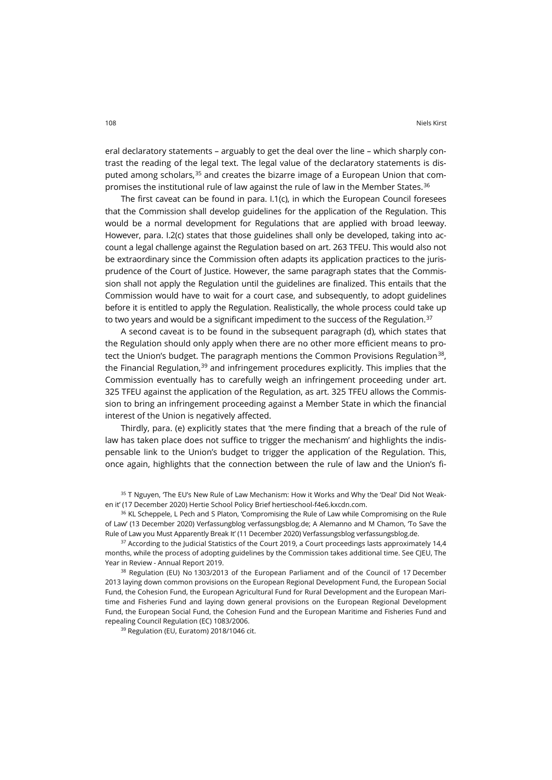eral declaratory statements – arguably to get the deal over the line – which sharply contrast the reading of the legal text. The legal value of the declaratory statements is dis-puted among scholars,<sup>[35](#page-7-0)</sup> and creates the bizarre image of a European Union that compromises the institutional rule of law against the rule of law in the Member States.[36](#page-7-1)

The first caveat can be found in para. I.1(c), in which the European Council foresees that the Commission shall develop guidelines for the application of the Regulation. This would be a normal development for Regulations that are applied with broad leeway. However, para. I.2(c) states that those guidelines shall only be developed, taking into account a legal challenge against the Regulation based on art. 263 TFEU. This would also not be extraordinary since the Commission often adapts its application practices to the jurisprudence of the Court of Justice. However, the same paragraph states that the Commission shall not apply the Regulation until the guidelines are finalized. This entails that the Commission would have to wait for a court case, and subsequently, to adopt guidelines before it is entitled to apply the Regulation. Realistically, the whole process could take up to two years and would be a significant impediment to the success of the Regulation. $37$ 

A second caveat is to be found in the subsequent paragraph (d), which states that the Regulation should only apply when there are no other more efficient means to protect the Union's budget. The paragraph mentions the Common Provisions Regulation<sup>38</sup>, the Financial Regulation,<sup>[39](#page-7-4)</sup> and infringement procedures explicitly. This implies that the Commission eventually has to carefully weigh an infringement proceeding under art. 325 TFEU against the application of the Regulation, as art. 325 TFEU allows the Commission to bring an infringement proceeding against a Member State in which the financial interest of the Union is negatively affected.

Thirdly, para. (e) explicitly states that 'the mere finding that a breach of the rule of law has taken place does not suffice to trigger the mechanism' and highlights the indispensable link to the Union's budget to trigger the application of the Regulation. This, once again, highlights that the connection between the rule of law and the Union's fi-

<span id="page-7-0"></span><sup>35</sup> T Nguyen, 'The EU's New Rule of Law Mechanism: How it Works and Why the 'Deal' Did Not Weaken it' (17 December 2020) Hertie School Policy Brief [hertieschool-f4e6.kxcdn.com.](https://hertieschool-f4e6.kxcdn.com/fileadmin/2_Research/1_About_our_research/2_Research_centres/6_Jacques_Delors_Centre/Publications/20201217_Rule_of_law_Nguyen.pdf)

<span id="page-7-1"></span><sup>36</sup> KL Scheppele, L Pech and S Platon, 'Compromising the Rule of Law while Compromising on the Rule of Law' (13 December 2020) Verfassungblog verfassungsblog.de; A Alemanno and M Chamon, 'To Save the Rule of Law you Must Apparently Break It' (11 December 2020) Verfassungsblo[g verfassungsblog.de.](https://verfassungsblog.de/to-save-the-rule-of-law-you-must-apparently-break-it/)

<span id="page-7-2"></span><sup>37</sup> According to the Judicial Statistics of the Court 2019, a Court proceedings lasts approximately 14,4 months, while the process of adopting guidelines by the Commission takes additional time. See CJEU, The Year in Review - Annual Report 2019.

<span id="page-7-4"></span><span id="page-7-3"></span><sup>38</sup> Regulation (EU) No 1303/2013 of the European Parliament and of the Council of 17 December 2013 laying down common provisions on the European Regional Development Fund, the European Social Fund, the Cohesion Fund, the European Agricultural Fund for Rural Development and the European Maritime and Fisheries Fund and laying down general provisions on the European Regional Development Fund, the European Social Fund, the Cohesion Fund and the European Maritime and Fisheries Fund and repealing Council Regulation (EC) 1083/2006.

<sup>39</sup> Regulation (EU, Euratom) 2018/1046 cit.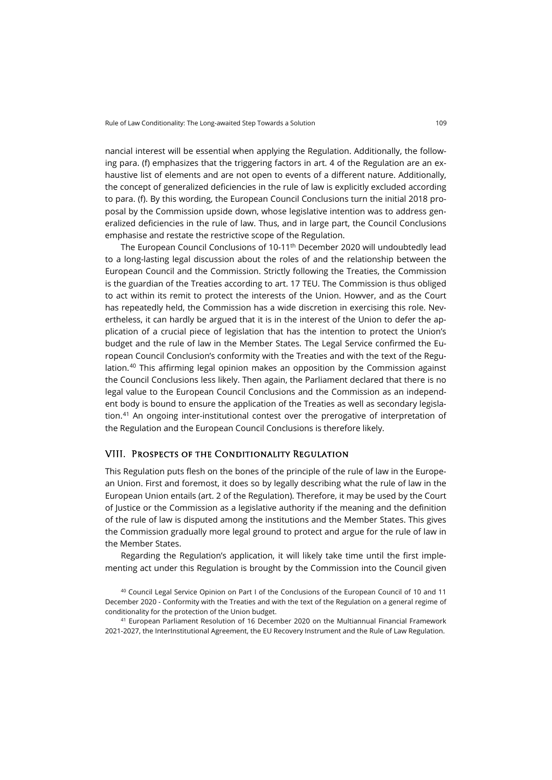nancial interest will be essential when applying the Regulation. Additionally, the following para. (f) emphasizes that the triggering factors in art. 4 of the Regulation are an exhaustive list of elements and are not open to events of a different nature. Additionally, the concept of generalized deficiencies in the rule of law is explicitly excluded according to para. (f). By this wording, the European Council Conclusions turn the initial 2018 proposal by the Commission upside down, whose legislative intention was to address generalized deficiencies in the rule of law. Thus, and in large part, the Council Conclusions emphasise and restate the restrictive scope of the Regulation.

The European Council Conclusions of 10-11<sup>th</sup> December 2020 will undoubtedly lead to a long-lasting legal discussion about the roles of and the relationship between the European Council and the Commission. Strictly following the Treaties, the Commission is the guardian of the Treaties according to art. 17 TEU. The Commission is thus obliged to act within its remit to protect the interests of the Union. Howver, and as the Court has repeatedly held, the Commission has a wide discretion in exercising this role. Nevertheless, it can hardly be argued that it is in the interest of the Union to defer the application of a crucial piece of legislation that has the intention to protect the Union's budget and the rule of law in the Member States. The Legal Service confirmed the European Council Conclusion's conformity with the Treaties and with the text of the Regulation. [40](#page-8-0) This affirming legal opinion makes an opposition by the Commission against the Council Conclusions less likely. Then again, the Parliament declared that there is no legal value to the European Council Conclusions and the Commission as an independent body is bound to ensure the application of the Treaties as well as secondary legislation.[41](#page-8-1) An ongoing inter-institutional contest over the prerogative of interpretation of the Regulation and the European Council Conclusions is therefore likely.

#### VIII. Prospects of the Conditionality Regulation

This Regulation puts flesh on the bones of the principle of the rule of law in the European Union. First and foremost, it does so by legally describing what the rule of law in the European Union entails (art. 2 of the Regulation). Therefore, it may be used by the Court of Justice or the Commission as a legislative authority if the meaning and the definition of the rule of law is disputed among the institutions and the Member States. This gives the Commission gradually more legal ground to protect and argue for the rule of law in the Member States.

Regarding the Regulation's application, it will likely take time until the first implementing act under this Regulation is brought by the Commission into the Council given

<span id="page-8-0"></span><sup>40</sup> Council Legal Service Opinion on Part I of the Conclusions of the European Council of 10 and 11 December 2020 - Conformity with the Treaties and with the text of the Regulation on a general regime of conditionality for the protection of the Union budget.

<span id="page-8-1"></span><sup>41</sup> European Parliament Resolution of 16 December 2020 on the Multiannual Financial Framework 2021-2027, the InterInstitutional Agreement, the EU Recovery Instrument and the Rule of Law Regulation.